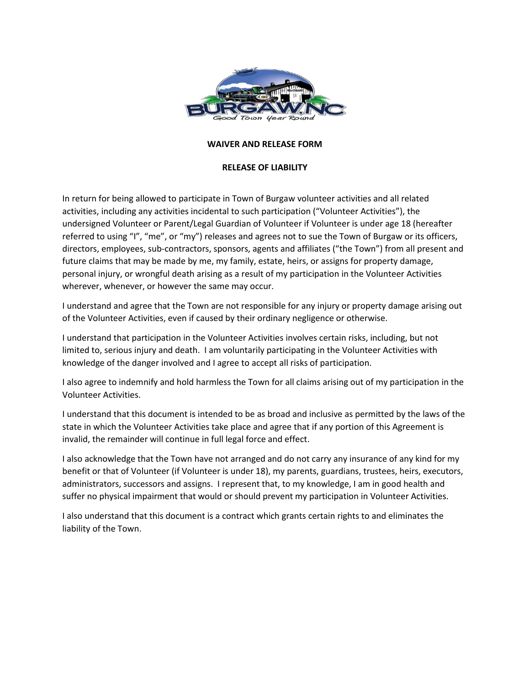

## **WAIVER AND RELEASE FORM**

## **RELEASE OF LIABILITY**

In return for being allowed to participate in Town of Burgaw volunteer activities and all related activities, including any activities incidental to such participation ("Volunteer Activities"), the undersigned Volunteer or Parent/Legal Guardian of Volunteer if Volunteer is under age 18 (hereafter referred to using "I", "me", or "my") releases and agrees not to sue the Town of Burgaw or its officers, directors, employees, sub-contractors, sponsors, agents and affiliates ("the Town") from all present and future claims that may be made by me, my family, estate, heirs, or assigns for property damage, personal injury, or wrongful death arising as a result of my participation in the Volunteer Activities wherever, whenever, or however the same may occur.

I understand and agree that the Town are not responsible for any injury or property damage arising out of the Volunteer Activities, even if caused by their ordinary negligence or otherwise.

I understand that participation in the Volunteer Activities involves certain risks, including, but not limited to, serious injury and death. I am voluntarily participating in the Volunteer Activities with knowledge of the danger involved and I agree to accept all risks of participation.

I also agree to indemnify and hold harmless the Town for all claims arising out of my participation in the Volunteer Activities.

I understand that this document is intended to be as broad and inclusive as permitted by the laws of the state in which the Volunteer Activities take place and agree that if any portion of this Agreement is invalid, the remainder will continue in full legal force and effect.

I also acknowledge that the Town have not arranged and do not carry any insurance of any kind for my benefit or that of Volunteer (if Volunteer is under 18), my parents, guardians, trustees, heirs, executors, administrators, successors and assigns. I represent that, to my knowledge, I am in good health and suffer no physical impairment that would or should prevent my participation in Volunteer Activities.

I also understand that this document is a contract which grants certain rights to and eliminates the liability of the Town.